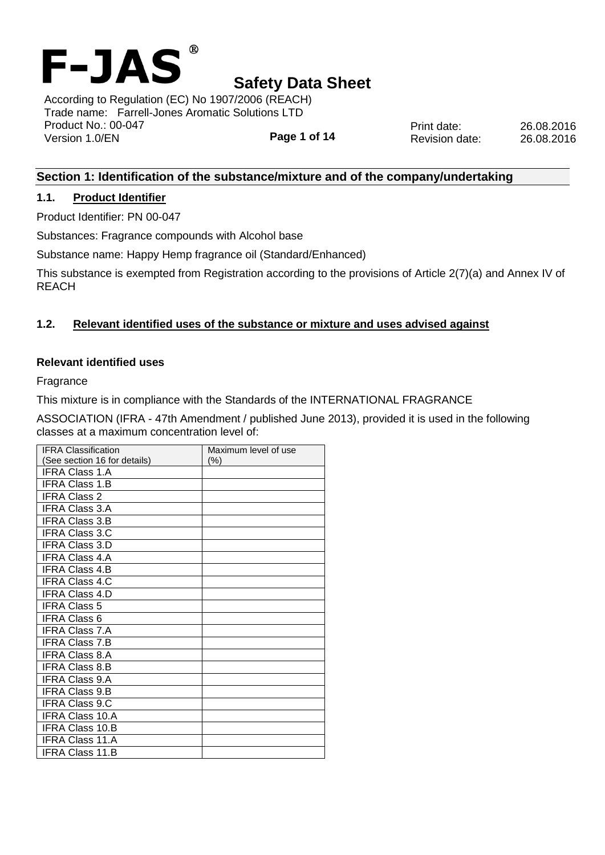

**Page 1 of 14** According to Regulation (EC) No 1907/2006 (REACH) Trade name: Farrell-Jones Aromatic Solutions LTD Product No.: 00-047 Version 1.0/EN

Print date: 26.08.2016 Revision date: 26.08.2016

## **Section 1: Identification of the substance/mixture and of the company/undertaking**

### **1.1. Product Identifier**

Product Identifier: PN 00-047

Substances: Fragrance compounds with Alcohol base

Substance name: Happy Hemp fragrance oil (Standard/Enhanced)

This substance is exempted from Registration according to the provisions of Article 2(7)(a) and Annex IV of REACH

## **1.2. Relevant identified uses of the substance or mixture and uses advised against**

#### **Relevant identified uses**

Fragrance

This mixture is in compliance with the Standards of the INTERNATIONAL FRAGRANCE

ASSOCIATION (IFRA - 47th Amendment / published June 2013), provided it is used in the following classes at a maximum concentration level of:

| <b>IFRA Classification</b>   | Maximum level of use |
|------------------------------|----------------------|
| (See section 16 for details) | $(\% )$              |
| <b>IFRA Class 1.A</b>        |                      |
| <b>IFRA Class 1.B</b>        |                      |
| <b>IFRA Class 2</b>          |                      |
| <b>IFRA Class 3.A</b>        |                      |
| IFRA Class 3.B               |                      |
| <b>IFRA Class 3.C</b>        |                      |
| IFRA Class 3.D               |                      |
| <b>IFRA Class 4.A</b>        |                      |
| IFRA Class 4.B               |                      |
| <b>IFRA Class 4.C</b>        |                      |
| <b>IFRA Class 4.D</b>        |                      |
| <b>IFRA Class 5</b>          |                      |
| <b>IFRA Class 6</b>          |                      |
| <b>IFRA Class 7.A</b>        |                      |
| <b>IFRA Class 7.B</b>        |                      |
| <b>IFRA Class 8.A</b>        |                      |
| <b>IFRA Class 8.B</b>        |                      |
| <b>IFRA Class 9.A</b>        |                      |
| IFRA Class 9.B               |                      |
| <b>IFRA Class 9.C</b>        |                      |
| <b>IFRA Class 10.A</b>       |                      |
| <b>IFRA Class 10.B</b>       |                      |
| IFRA Class 11.A              |                      |
| <b>IFRA Class 11.B</b>       |                      |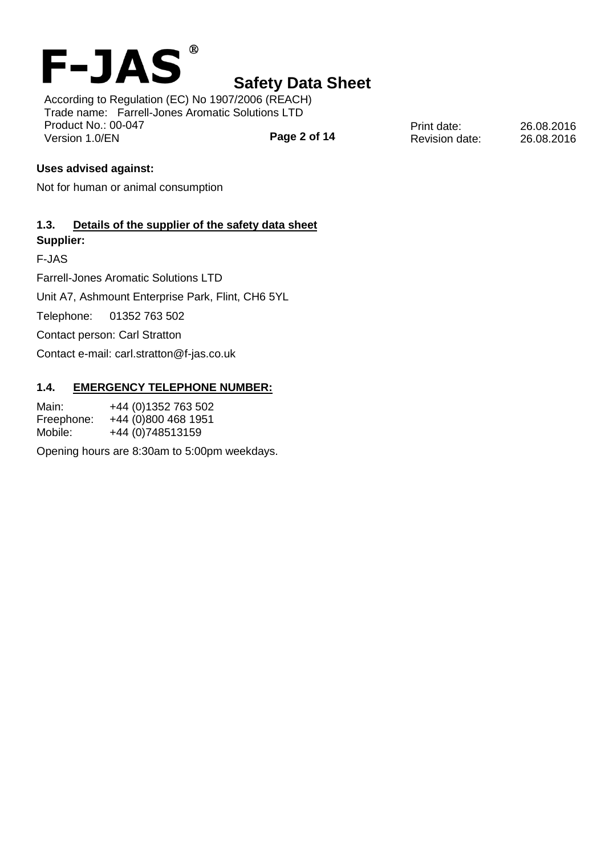

**Page 2 of 14** According to Regulation (EC) No 1907/2006 (REACH) Trade name: Farrell-Jones Aromatic Solutions LTD Product No.: 00-047 Version 1.0/EN

Print date: 26.08.2016 Revision date: 26.08.2016

## **Uses advised against:**

Not for human or animal consumption

## **1.3. Details of the supplier of the safety data sheet Supplier:**

F-JAS

Farrell-Jones Aromatic Solutions LTD

Unit A7, Ashmount Enterprise Park, Flint, CH6 5YL

Telephone: 01352 763 502

Contact person: Carl Stratton

Contact e-mail: carl.stratton@f-jas.co.uk

#### **1.4. EMERGENCY TELEPHONE NUMBER:**

Main: +44 (0)1352 763 502 Freephone: +44 (0)800 468 1951 Mobile: +44 (0)748513159

Opening hours are 8:30am to 5:00pm weekdays.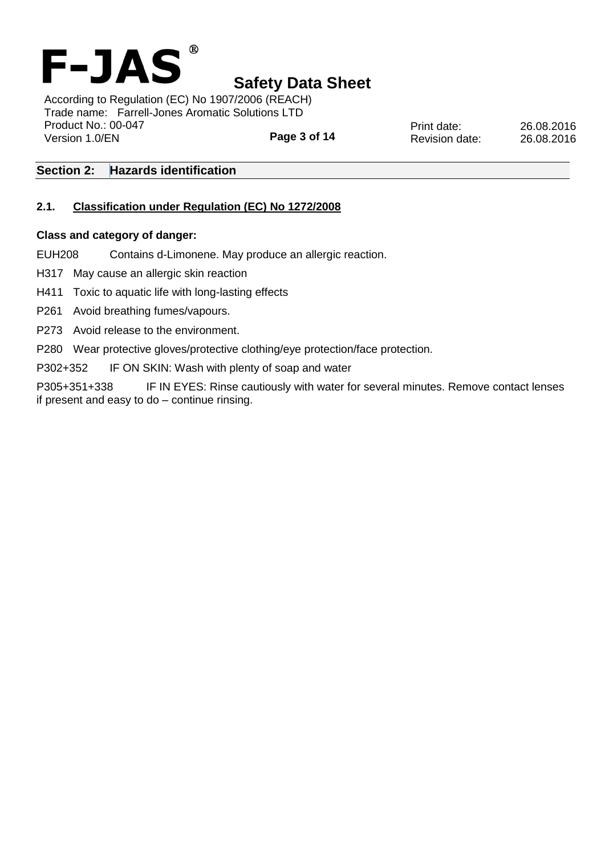

**Page 3 of 14** According to Regulation (EC) No 1907/2006 (REACH) Trade name: Farrell-Jones Aromatic Solutions LTD Product No.: 00-047 Version 1.0/EN

Print date: 26.08.2016 Revision date: 26.08.2016

## **Section 2: Hazards identification**

## **2.1. Classification under Regulation (EC) No 1272/2008**

#### **Class and category of danger:**

EUH208 Contains d-Limonene. May produce an allergic reaction.

H317 May cause an allergic skin reaction

H411 Toxic to aquatic life with long-lasting effects

P261 Avoid breathing fumes/vapours.

P273 Avoid release to the environment.

P280 Wear protective gloves/protective clothing/eye protection/face protection.

P302+352 IF ON SKIN: Wash with plenty of soap and water

P305+351+338 IF IN EYES: Rinse cautiously with water for several minutes. Remove contact lenses if present and easy to do – continue rinsing.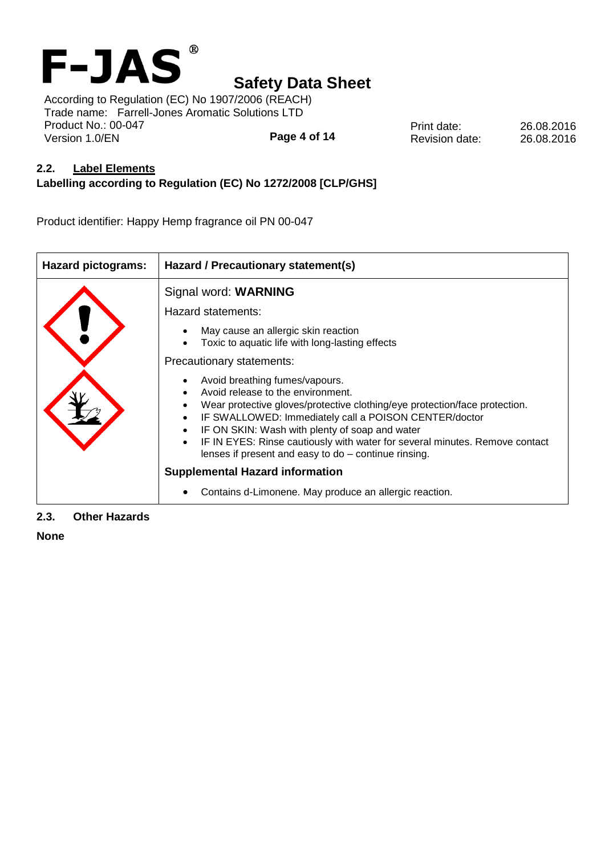

**Page 4 of 14** According to Regulation (EC) No 1907/2006 (REACH) Trade name: Farrell-Jones Aromatic Solutions LTD Product No.: 00-047 Version 1.0/EN

Print date: 26.08.2016 Revision date: 26.08.2016

## **2.2. Label Elements**

## **Labelling according to Regulation (EC) No 1272/2008 [CLP/GHS]**

Product identifier: Happy Hemp fragrance oil PN 00-047

| <b>Hazard pictograms:</b> | Hazard / Precautionary statement(s)                                                                                                                                                                                                                                                                                                                                                                 |  |  |  |  |
|---------------------------|-----------------------------------------------------------------------------------------------------------------------------------------------------------------------------------------------------------------------------------------------------------------------------------------------------------------------------------------------------------------------------------------------------|--|--|--|--|
|                           | Signal word: WARNING                                                                                                                                                                                                                                                                                                                                                                                |  |  |  |  |
|                           | Hazard statements:                                                                                                                                                                                                                                                                                                                                                                                  |  |  |  |  |
|                           | May cause an allergic skin reaction<br>Toxic to aquatic life with long-lasting effects                                                                                                                                                                                                                                                                                                              |  |  |  |  |
|                           | Precautionary statements:                                                                                                                                                                                                                                                                                                                                                                           |  |  |  |  |
|                           | Avoid breathing fumes/vapours.<br>Avoid release to the environment.<br>Wear protective gloves/protective clothing/eye protection/face protection.<br>IF SWALLOWED: Immediately call a POISON CENTER/doctor<br>IF ON SKIN: Wash with plenty of soap and water<br>IF IN EYES: Rinse cautiously with water for several minutes. Remove contact<br>lenses if present and easy to do - continue rinsing. |  |  |  |  |
|                           | <b>Supplemental Hazard information</b>                                                                                                                                                                                                                                                                                                                                                              |  |  |  |  |
|                           | Contains d-Limonene. May produce an allergic reaction.                                                                                                                                                                                                                                                                                                                                              |  |  |  |  |

## **2.3. Other Hazards**

**None**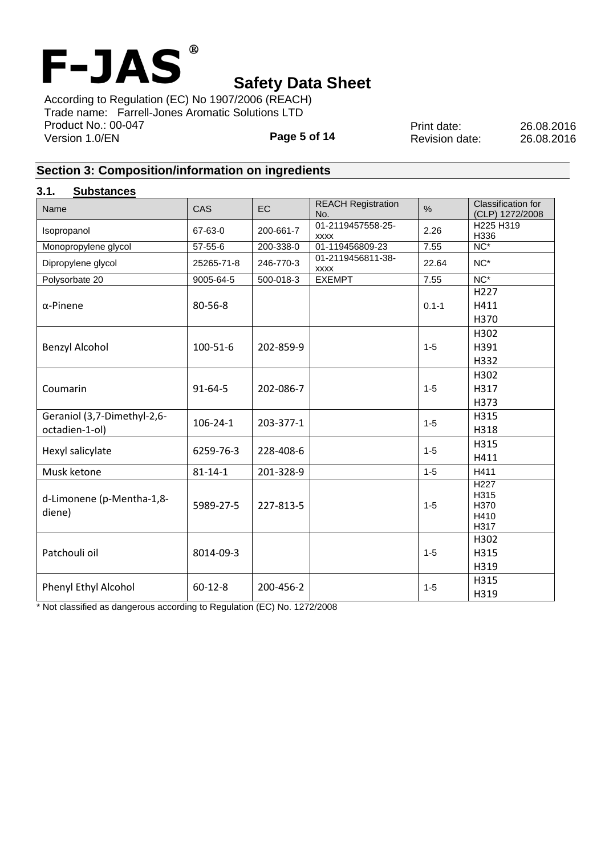

**Page 5 of 14** According to Regulation (EC) No 1907/2006 (REACH) Trade name: Farrell-Jones Aromatic Solutions LTD Product No.: 00-047 Version 1.0/EN

Print date: 26.08.2016 Revision date: 26.08.2016

# **Section 3: Composition/information on ingredients**

## **3.1. Substances**

| Name                                          | CAS            | EC        | <b>REACH Registration</b><br>No. | $\%$      | Classification for<br>(CLP) 1272/2008             |
|-----------------------------------------------|----------------|-----------|----------------------------------|-----------|---------------------------------------------------|
| Isopropanol                                   | 67-63-0        | 200-661-7 | 01-2119457558-25-<br><b>XXXX</b> | 2.26      | H225 H319<br>H336                                 |
| Monopropylene glycol                          | 57-55-6        | 200-338-0 | 01-119456809-23                  | 7.55      | $NC*$                                             |
| Dipropylene glycol                            | 25265-71-8     | 246-770-3 | 01-2119456811-38-<br><b>XXXX</b> | 22.64     | $NC^*$                                            |
| Polysorbate 20                                | 9005-64-5      | 500-018-3 | <b>EXEMPT</b>                    | 7.55      | $NC^*$                                            |
| $\alpha$ -Pinene                              | 80-56-8        |           |                                  | $0.1 - 1$ | H <sub>227</sub><br>H411<br>H370                  |
| <b>Benzyl Alcohol</b>                         | 100-51-6       | 202-859-9 |                                  | $1 - 5$   | H302<br>H391<br>H332                              |
| Coumarin                                      | $91 - 64 - 5$  | 202-086-7 |                                  | $1 - 5$   | H302<br>H317<br>H373                              |
| Geraniol (3,7-Dimethyl-2,6-<br>octadien-1-ol) | $106 - 24 - 1$ | 203-377-1 |                                  | $1 - 5$   | H315<br>H318                                      |
| Hexyl salicylate                              | 6259-76-3      | 228-408-6 |                                  | $1 - 5$   | H315<br>H411                                      |
| Musk ketone                                   | $81 - 14 - 1$  | 201-328-9 |                                  | $1 - 5$   | H411                                              |
| d-Limonene (p-Mentha-1,8-<br>diene)           | 5989-27-5      | 227-813-5 |                                  | $1 - 5$   | $\overline{H227}$<br>H315<br>H370<br>H410<br>H317 |
| Patchouli oil                                 | 8014-09-3      |           |                                  | $1 - 5$   | H302<br>H315<br>H319                              |
| Phenyl Ethyl Alcohol                          | $60 - 12 - 8$  | 200-456-2 |                                  | $1 - 5$   | H315<br>H319                                      |

\* Not classified as dangerous according to Regulation (EC) No. 1272/2008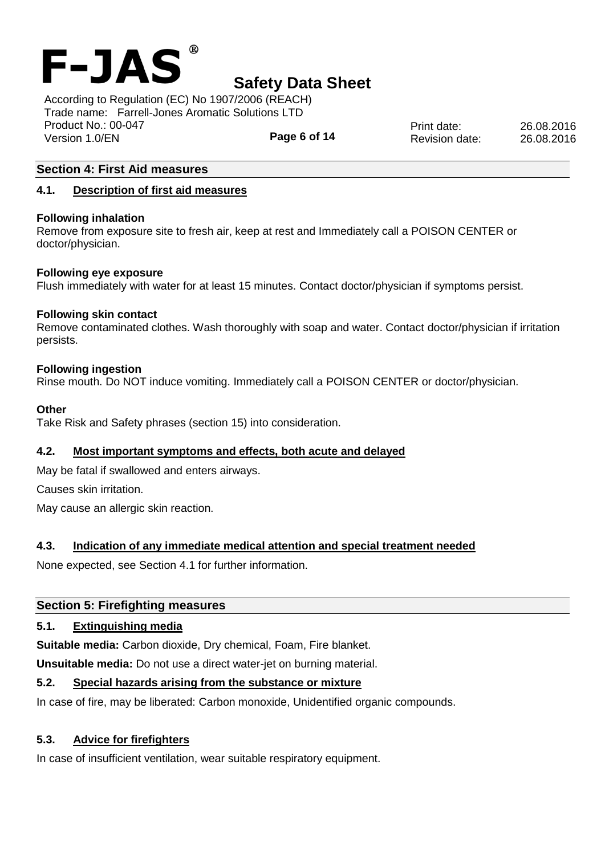

**Page 6 of 14** According to Regulation (EC) No 1907/2006 (REACH) Trade name: Farrell-Jones Aromatic Solutions LTD Product No.: 00-047 Version 1.0/EN

Print date: 26.08.2016 Revision date: 26.08.2016

## **Section 4: First Aid measures**

## **4.1. Description of first aid measures**

#### **Following inhalation**

Remove from exposure site to fresh air, keep at rest and Immediately call a POISON CENTER or doctor/physician.

#### **Following eye exposure**

Flush immediately with water for at least 15 minutes. Contact doctor/physician if symptoms persist.

#### **Following skin contact**

Remove contaminated clothes. Wash thoroughly with soap and water. Contact doctor/physician if irritation persists.

#### **Following ingestion**

Rinse mouth. Do NOT induce vomiting. Immediately call a POISON CENTER or doctor/physician.

#### **Other**

Take Risk and Safety phrases (section 15) into consideration.

#### **4.2. Most important symptoms and effects, both acute and delayed**

May be fatal if swallowed and enters airways.

Causes skin irritation.

May cause an allergic skin reaction.

## **4.3. Indication of any immediate medical attention and special treatment needed**

None expected, see Section 4.1 for further information.

#### **Section 5: Firefighting measures**

## **5.1. Extinguishing media**

**Suitable media:** Carbon dioxide, Dry chemical, Foam, Fire blanket.

**Unsuitable media:** Do not use a direct water-jet on burning material.

## **5.2. Special hazards arising from the substance or mixture**

In case of fire, may be liberated: Carbon monoxide, Unidentified organic compounds.

## **5.3. Advice for firefighters**

In case of insufficient ventilation, wear suitable respiratory equipment.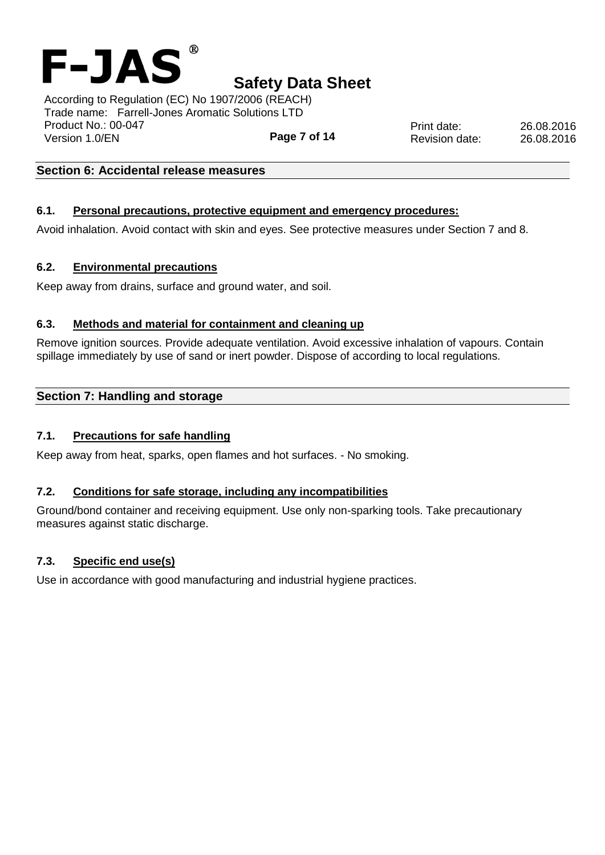

**Page 7 of 14** According to Regulation (EC) No 1907/2006 (REACH) Trade name: Farrell-Jones Aromatic Solutions LTD Product No.: 00-047 Version 1.0/EN

**Section 6: Accidental release measures**

### **6.1. Personal precautions, protective equipment and emergency procedures:**

Avoid inhalation. Avoid contact with skin and eyes. See protective measures under Section 7 and 8.

#### **6.2. Environmental precautions**

Keep away from drains, surface and ground water, and soil.

#### **6.3. Methods and material for containment and cleaning up**

Remove ignition sources. Provide adequate ventilation. Avoid excessive inhalation of vapours. Contain spillage immediately by use of sand or inert powder. Dispose of according to local regulations.

## **Section 7: Handling and storage**

#### **7.1. Precautions for safe handling**

Keep away from heat, sparks, open flames and hot surfaces. - No smoking.

#### **7.2. Conditions for safe storage, including any incompatibilities**

Ground/bond container and receiving equipment. Use only non-sparking tools. Take precautionary measures against static discharge.

#### **7.3. Specific end use(s)**

Use in accordance with good manufacturing and industrial hygiene practices.

Print date: 26.08.2016 Revision date: 26.08.2016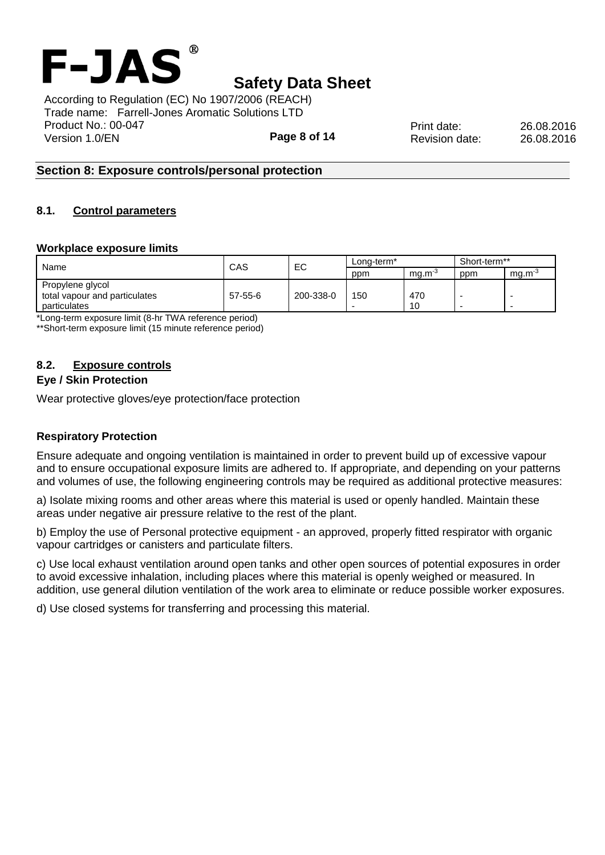

**Page 8 of 14** According to Regulation (EC) No 1907/2006 (REACH) Trade name: Farrell-Jones Aromatic Solutions LTD Product No.: 00-047 Version 1.0/EN

Print date: 26.08.2016 Revision date: 26.08.2016

## **Section 8: Exposure controls/personal protection**

#### **8.1. Control parameters**

#### **Workplace exposure limits**

|                               | CAS     | EC        | Long-term* |             | Short-term**             |             |
|-------------------------------|---------|-----------|------------|-------------|--------------------------|-------------|
| Name                          |         |           | ppm        | $ma.m^{-3}$ | ppm                      | $ma.m^{-3}$ |
| Propylene glycol              |         |           |            |             |                          |             |
| total vapour and particulates | 57-55-6 | 200-338-0 | 150        | 470         | -                        |             |
| particulates                  |         |           |            | 10          | $\overline{\phantom{0}}$ | -           |

\*Long-term exposure limit (8-hr TWA reference period)

\*\*Short-term exposure limit (15 minute reference period)

## **8.2. Exposure controls**

#### **Eye / Skin Protection**

Wear protective gloves/eye protection/face protection

#### **Respiratory Protection**

Ensure adequate and ongoing ventilation is maintained in order to prevent build up of excessive vapour and to ensure occupational exposure limits are adhered to. If appropriate, and depending on your patterns and volumes of use, the following engineering controls may be required as additional protective measures:

a) Isolate mixing rooms and other areas where this material is used or openly handled. Maintain these areas under negative air pressure relative to the rest of the plant.

b) Employ the use of Personal protective equipment - an approved, properly fitted respirator with organic vapour cartridges or canisters and particulate filters.

c) Use local exhaust ventilation around open tanks and other open sources of potential exposures in order to avoid excessive inhalation, including places where this material is openly weighed or measured. In addition, use general dilution ventilation of the work area to eliminate or reduce possible worker exposures.

d) Use closed systems for transferring and processing this material.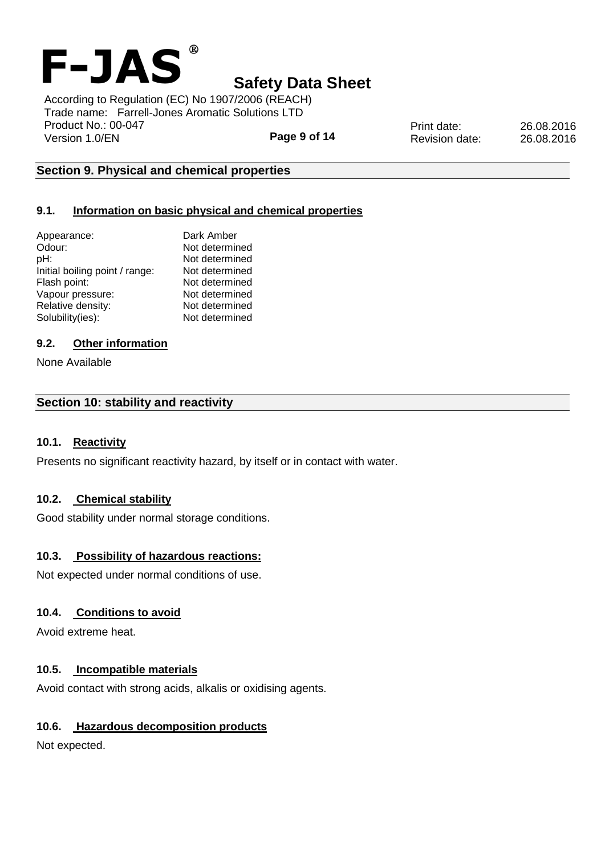

According to Regulation (EC) No 1907/2006 (REACH) Trade name: Farrell-Jones Aromatic Solutions LTD Product No.: 00-047 Version 1.0/EN

**Page 9 of 14**

Print date: 26.08.2016 Revision date: 26.08.2016

## **Section 9. Physical and chemical properties**

## **9.1. Information on basic physical and chemical properties**

| Appearance:                    | Dark Amber     |
|--------------------------------|----------------|
| Odour:                         | Not determined |
| pH:                            | Not determined |
| Initial boiling point / range: | Not determined |
| Flash point:                   | Not determined |
| Vapour pressure:               | Not determined |
| Relative density:              | Not determined |
| Solubility(ies):               | Not determined |
|                                |                |

## **9.2. Other information**

None Available

## **Section 10: stability and reactivity**

## **10.1. Reactivity**

Presents no significant reactivity hazard, by itself or in contact with water.

## **10.2. Chemical stability**

Good stability under normal storage conditions.

## **10.3. Possibility of hazardous reactions:**

Not expected under normal conditions of use.

## **10.4. Conditions to avoid**

Avoid extreme heat.

## **10.5. Incompatible materials**

Avoid contact with strong acids, alkalis or oxidising agents.

## **10.6. Hazardous decomposition products**

Not expected.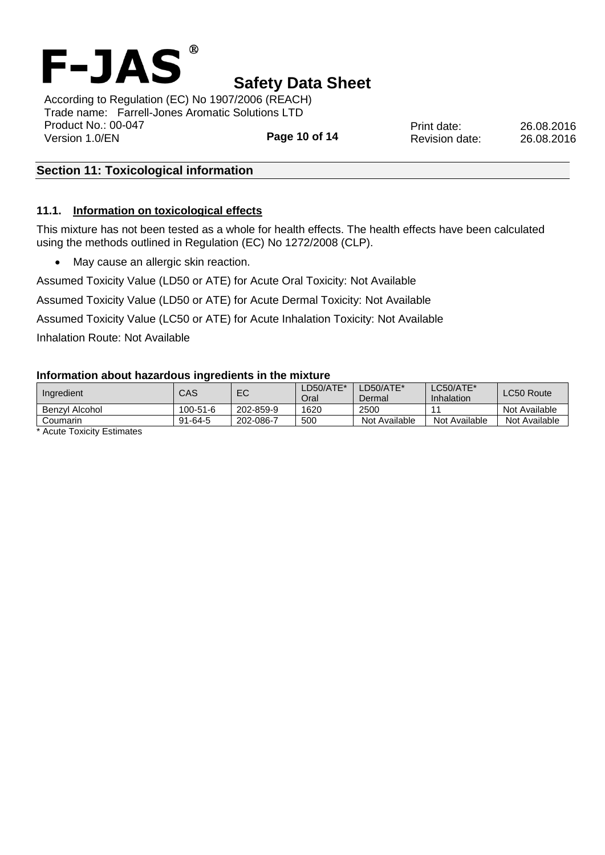

Print date: 26.08.2016 Revision date: 26.08.2016

**Page 10 of 14** According to Regulation (EC) No 1907/2006 (REACH) Trade name: Farrell-Jones Aromatic Solutions LTD Product No.: 00-047 Version 1.0/EN

## **Section 11: Toxicological information**

### **11.1. Information on toxicological effects**

This mixture has not been tested as a whole for health effects. The health effects have been calculated using the methods outlined in Regulation (EC) No 1272/2008 (CLP).

• May cause an allergic skin reaction.

Assumed Toxicity Value (LD50 or ATE) for Acute Oral Toxicity: Not Available

Assumed Toxicity Value (LD50 or ATE) for Acute Dermal Toxicity: Not Available

Assumed Toxicity Value (LC50 or ATE) for Acute Inhalation Toxicity: Not Available

Inhalation Route: Not Available

#### **Information about hazardous ingredients in the mixture**

| Ingredient     | CAS            | EC        | LD50/ATE*<br>Oral | LD50/ATE*<br>Dermal | $\textsf{\small \textsf{L}C50/ATE}$ *<br>Inhalation | LC50 Route    |
|----------------|----------------|-----------|-------------------|---------------------|-----------------------------------------------------|---------------|
| Benzvl Alcohol | $100 - 51 - 6$ | 202-859-9 | 1620              | 2500                |                                                     | Not Available |
| Coumarin       | $91 - 64 - 5$  | 202-086-7 | 500               | Not Available       | Not Available                                       | Not Available |

\* Acute Toxicity Estimates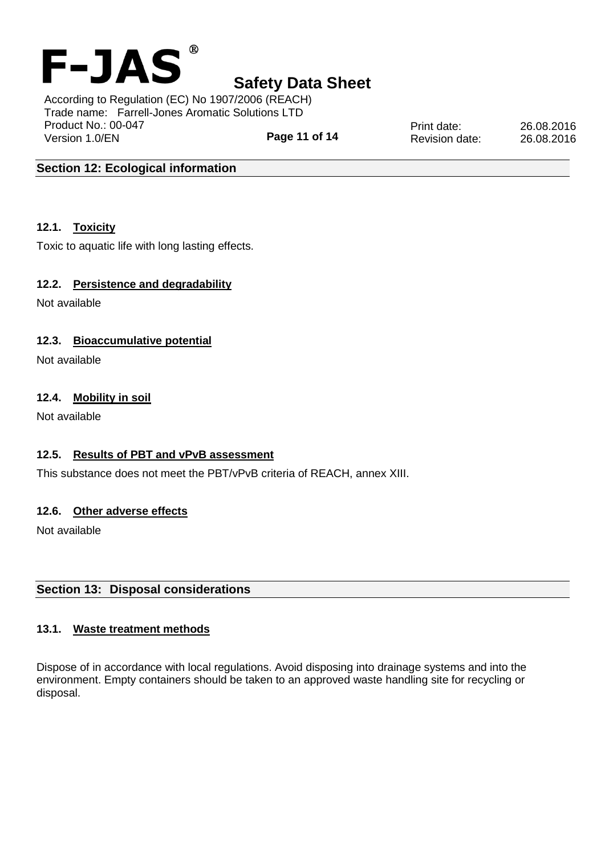

According to Regulation (EC) No 1907/2006 (REACH) Trade name: Farrell-Jones Aromatic Solutions LTD Product No.: 00-047 Version 1.0/EN

**Page 11 of 14**

Print date: 26.08.2016 Revision date: 26.08.2016

## **Section 12: Ecological information**

## **12.1. Toxicity**

Toxic to aquatic life with long lasting effects.

## **12.2. Persistence and degradability**

Not available

## **12.3. Bioaccumulative potential**

Not available

## **12.4. Mobility in soil**

Not available

## **12.5. Results of PBT and vPvB assessment**

This substance does not meet the PBT/vPvB criteria of REACH, annex XIII.

## **12.6. Other adverse effects**

Not available

## **Section 13: Disposal considerations**

## **13.1. Waste treatment methods**

Dispose of in accordance with local regulations. Avoid disposing into drainage systems and into the environment. Empty containers should be taken to an approved waste handling site for recycling or disposal.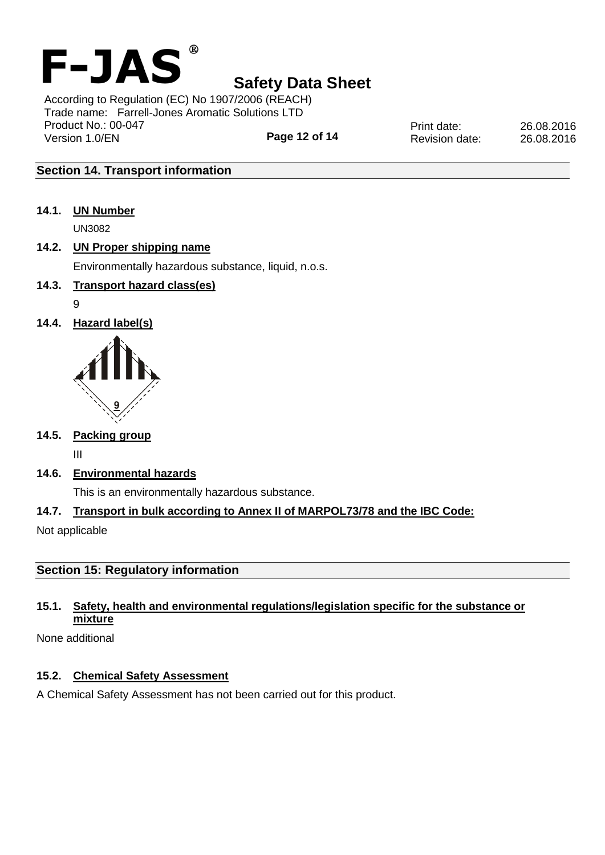

**Page 12 of 14** According to Regulation (EC) No 1907/2006 (REACH) Trade name: Farrell-Jones Aromatic Solutions LTD Product No.: 00-047 Version 1.0/EN

Print date: 26.08.2016 Revision date: 26.08.2016

# **Section 14. Transport information**

**14.1. UN Number**

UN3082

## **14.2. UN Proper shipping name**

Environmentally hazardous substance, liquid, n.o.s.

# **14.3. Transport hazard class(es)**

- 9
- **14.4. Hazard label(s)**



## **14.5. Packing group**

III

**14.6. Environmental hazards**

This is an environmentally hazardous substance.

## **14.7. Transport in bulk according to Annex II of MARPOL73/78 and the IBC Code:**

Not applicable

## **Section 15: Regulatory information**

# **15.1. Safety, health and environmental regulations/legislation specific for the substance or mixture**

None additional

## **15.2. Chemical Safety Assessment**

A Chemical Safety Assessment has not been carried out for this product.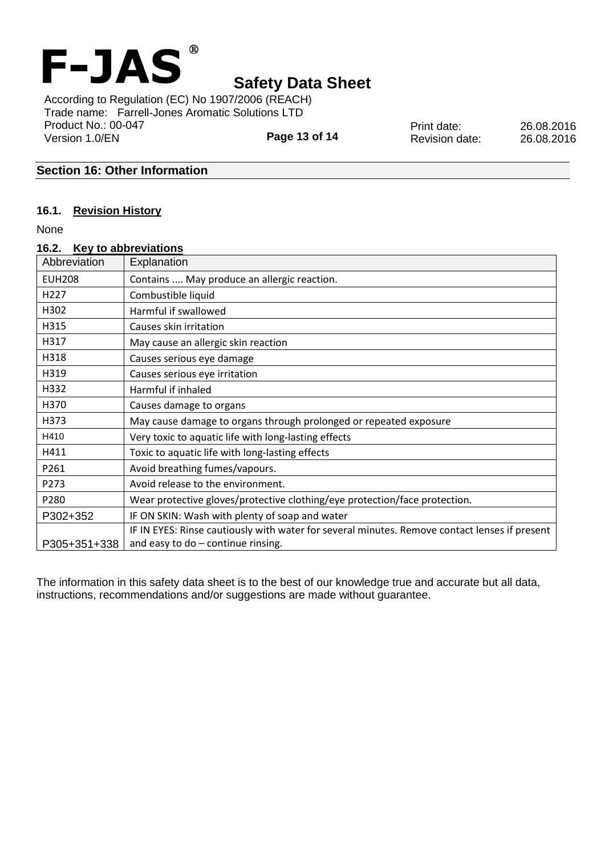

**Page 13 of 14** According to Regulation (EC) No 1907/2006 (REACH) Trade name: Farrell-Jones Aromatic Solutions LTD Product No.: 00-047 Version 1.0/EN

Print date: 26.08.2016 Revision date: 26.08.2016

## **Section 16: Other Information**

#### **16.1. Revision History**

None

| 16.2.            | Key to abbreviations                                                                          |
|------------------|-----------------------------------------------------------------------------------------------|
| Abbreviation     | Explanation                                                                                   |
| <b>EUH208</b>    | Contains  May produce an allergic reaction.                                                   |
| H <sub>227</sub> | Combustible liquid                                                                            |
| H302             | Harmful if swallowed                                                                          |
| H315             | Causes skin irritation                                                                        |
| H317             | May cause an allergic skin reaction                                                           |
| H318             | Causes serious eye damage                                                                     |
| H319             | Causes serious eye irritation                                                                 |
| H332             | Harmful if inhaled                                                                            |
| H370             | Causes damage to organs                                                                       |
| H373             | May cause damage to organs through prolonged or repeated exposure                             |
| H410             | Very toxic to aquatic life with long-lasting effects                                          |
| H411             | Toxic to aquatic life with long-lasting effects                                               |
| P261             | Avoid breathing fumes/vapours.                                                                |
| P273             | Avoid release to the environment.                                                             |
| P280             | Wear protective gloves/protective clothing/eye protection/face protection.                    |
| P302+352         | IF ON SKIN: Wash with plenty of soap and water                                                |
|                  | IF IN EYES: Rinse cautiously with water for several minutes. Remove contact lenses if present |
| P305+351+338     | and easy to $do$ - continue rinsing.                                                          |

The information in this safety data sheet is to the best of our knowledge true and accurate but all data, instructions, recommendations and/or suggestions are made without guarantee.